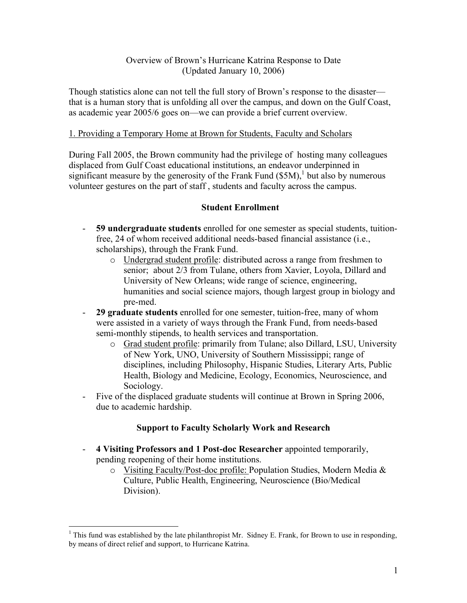### Overview of Brown's Hurricane Katrina Response to Date (Updated January 10, 2006)

Though statistics alone can not tell the full story of Brown's response to the disaster that is a human story that is unfolding all over the campus, and down on the Gulf Coast, as academic year 2005/6 goes on—we can provide a brief current overview.

#### 1. Providing a Temporary Home at Brown for Students, Faculty and Scholars

During Fall 2005, the Brown community had the privilege of hosting many colleagues displaced from Gulf Coast educational institutions, an endeavor underpinned in significant measure by the generosity of the Frank Fund  $(\$5M)$ , but also by numerous volunteer gestures on the part of staff , students and faculty across the campus.

### **Student Enrollment**

- **59 undergraduate students** enrolled for one semester as special students, tuitionfree, 24 of whom received additional needs-based financial assistance (i.e., scholarships), through the Frank Fund.
	- o Undergrad student profile: distributed across a range from freshmen to senior; about 2/3 from Tulane, others from Xavier, Loyola, Dillard and University of New Orleans; wide range of science, engineering, humanities and social science majors, though largest group in biology and pre-med.
- **29 graduate students** enrolled for one semester, tuition-free, many of whom were assisted in a variety of ways through the Frank Fund, from needs-based semi-monthly stipends, to health services and transportation.
	- o Grad student profile: primarily from Tulane; also Dillard, LSU, University of New York, UNO, University of Southern Mississippi; range of disciplines, including Philosophy, Hispanic Studies, Literary Arts, Public Health, Biology and Medicine, Ecology, Economics, Neuroscience, and Sociology.
- Five of the displaced graduate students will continue at Brown in Spring 2006, due to academic hardship.

### **Support to Faculty Scholarly Work and Research**

- **4 Visiting Professors and 1 Post-doc Researcher** appointed temporarily, pending reopening of their home institutions.
	- o Visiting Faculty/Post-doc profile: Population Studies, Modern Media & Culture, Public Health, Engineering, Neuroscience (Bio/Medical Division).

 $1$  This fund was established by the late philanthropist Mr. Sidney E. Frank, for Brown to use in responding, by means of direct relief and support, to Hurricane Katrina.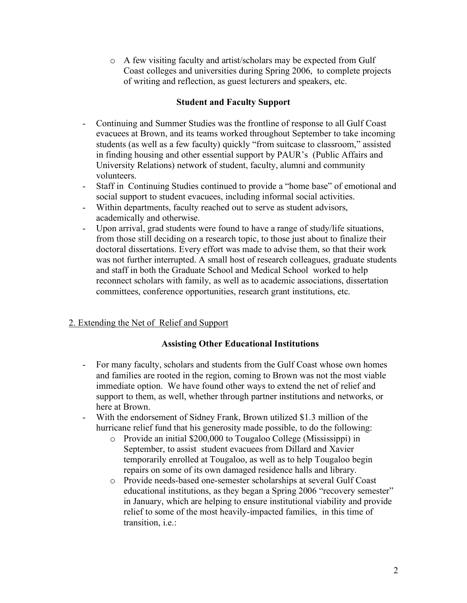o A few visiting faculty and artist/scholars may be expected from Gulf Coast colleges and universities during Spring 2006, to complete projects of writing and reflection, as guest lecturers and speakers, etc.

### **Student and Faculty Support**

- Continuing and Summer Studies was the frontline of response to all Gulf Coast evacuees at Brown, and its teams worked throughout September to take incoming students (as well as a few faculty) quickly "from suitcase to classroom," assisted in finding housing and other essential support by PAUR's (Public Affairs and University Relations) network of student, faculty, alumni and community volunteers.
- Staff in Continuing Studies continued to provide a "home base" of emotional and social support to student evacuees, including informal social activities.
- Within departments, faculty reached out to serve as student advisors, academically and otherwise.
- Upon arrival, grad students were found to have a range of study/life situations, from those still deciding on a research topic, to those just about to finalize their doctoral dissertations. Every effort was made to advise them, so that their work was not further interrupted. A small host of research colleagues, graduate students and staff in both the Graduate School and Medical School worked to help reconnect scholars with family, as well as to academic associations, dissertation committees, conference opportunities, research grant institutions, etc.

# 2. Extending the Net of Relief and Support

# **Assisting Other Educational Institutions**

- For many faculty, scholars and students from the Gulf Coast whose own homes and families are rooted in the region, coming to Brown was not the most viable immediate option. We have found other ways to extend the net of relief and support to them, as well, whether through partner institutions and networks, or here at Brown.
- With the endorsement of Sidney Frank, Brown utilized \$1.3 million of the hurricane relief fund that his generosity made possible, to do the following:
	- o Provide an initial \$200,000 to Tougaloo College (Mississippi) in September, to assist student evacuees from Dillard and Xavier temporarily enrolled at Tougaloo, as well as to help Tougaloo begin repairs on some of its own damaged residence halls and library.
	- o Provide needs-based one-semester scholarships at several Gulf Coast educational institutions, as they began a Spring 2006 "recovery semester" in January, which are helping to ensure institutional viability and provide relief to some of the most heavily-impacted families, in this time of transition, i.e.: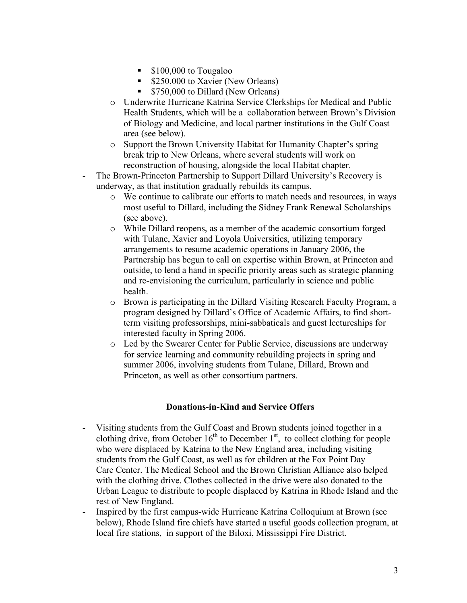- **S** 100,000 to Tougaloo
- **S250,000 to Xavier (New Orleans)**
- **S750,000 to Dillard (New Orleans)**
- o Underwrite Hurricane Katrina Service Clerkships for Medical and Public Health Students, which will be a collaboration between Brown's Division of Biology and Medicine, and local partner institutions in the Gulf Coast area (see below).
- o Support the Brown University Habitat for Humanity Chapter's spring break trip to New Orleans, where several students will work on reconstruction of housing, alongside the local Habitat chapter.
- The Brown-Princeton Partnership to Support Dillard University's Recovery is underway, as that institution gradually rebuilds its campus.
	- o We continue to calibrate our efforts to match needs and resources, in ways most useful to Dillard, including the Sidney Frank Renewal Scholarships (see above).
	- o While Dillard reopens, as a member of the academic consortium forged with Tulane, Xavier and Loyola Universities, utilizing temporary arrangements to resume academic operations in January 2006, the Partnership has begun to call on expertise within Brown, at Princeton and outside, to lend a hand in specific priority areas such as strategic planning and re-envisioning the curriculum, particularly in science and public health.
	- o Brown is participating in the Dillard Visiting Research Faculty Program, a program designed by Dillard's Office of Academic Affairs, to find shortterm visiting professorships, mini-sabbaticals and guest lectureships for interested faculty in Spring 2006.
	- o Led by the Swearer Center for Public Service, discussions are underway for service learning and community rebuilding projects in spring and summer 2006, involving students from Tulane, Dillard, Brown and Princeton, as well as other consortium partners.

### **Donations-in-Kind and Service Offers**

- Visiting students from the Gulf Coast and Brown students joined together in a clothing drive, from October  $16<sup>th</sup>$  to December  $1<sup>st</sup>$ , to collect clothing for people who were displaced by Katrina to the New England area, including visiting students from the Gulf Coast, as well as for children at the Fox Point Day Care Center. The Medical School and the Brown Christian Alliance also helped with the clothing drive. Clothes collected in the drive were also donated to the Urban League to distribute to people displaced by Katrina in Rhode Island and the rest of New England.
- Inspired by the first campus-wide Hurricane Katrina Colloquium at Brown (see below), Rhode Island fire chiefs have started a useful goods collection program, at local fire stations, in support of the Biloxi, Mississippi Fire District.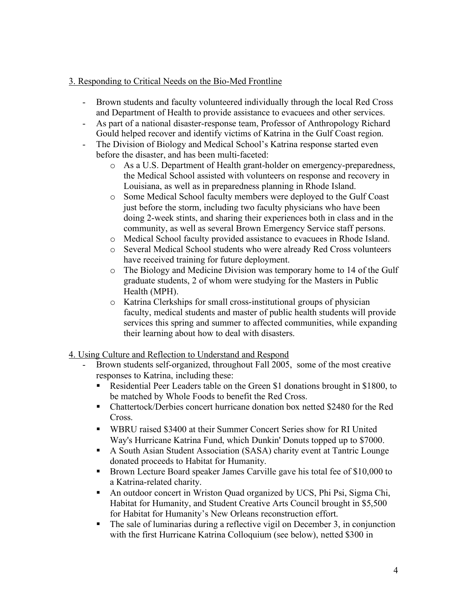### 3. Responding to Critical Needs on the Bio-Med Frontline

- Brown students and faculty volunteered individually through the local Red Cross and Department of Health to provide assistance to evacuees and other services.
- As part of a national disaster-response team, Professor of Anthropology Richard Gould helped recover and identify victims of Katrina in the Gulf Coast region.
- The Division of Biology and Medical School's Katrina response started even before the disaster, and has been multi-faceted:
	- o As a U.S. Department of Health grant-holder on emergency-preparedness, the Medical School assisted with volunteers on response and recovery in Louisiana, as well as in preparedness planning in Rhode Island.
	- o Some Medical School faculty members were deployed to the Gulf Coast just before the storm, including two faculty physicians who have been doing 2-week stints, and sharing their experiences both in class and in the community, as well as several Brown Emergency Service staff persons.
	- o Medical School faculty provided assistance to evacuees in Rhode Island.
	- o Several Medical School students who were already Red Cross volunteers have received training for future deployment.
	- o The Biology and Medicine Division was temporary home to 14 of the Gulf graduate students, 2 of whom were studying for the Masters in Public Health (MPH).
	- o Katrina Clerkships for small cross-institutional groups of physician faculty, medical students and master of public health students will provide services this spring and summer to affected communities, while expanding their learning about how to deal with disasters.

# 4. Using Culture and Reflection to Understand and Respond

- Brown students self-organized, throughout Fall 2005, some of the most creative responses to Katrina, including these:
	- Residential Peer Leaders table on the Green \$1 donations brought in \$1800, to be matched by Whole Foods to benefit the Red Cross.
	- Chattertock/Derbies concert hurricane donation box netted \$2480 for the Red Cross.
	- WBRU raised \$3400 at their Summer Concert Series show for RI United Way's Hurricane Katrina Fund, which Dunkin' Donuts topped up to \$7000.
	- A South Asian Student Association (SASA) charity event at Tantric Lounge donated proceeds to Habitat for Humanity.
	- Brown Lecture Board speaker James Carville gave his total fee of \$10,000 to a Katrina-related charity.
	- An outdoor concert in Wriston Quad organized by UCS, Phi Psi, Sigma Chi, Habitat for Humanity, and Student Creative Arts Council brought in \$5,500 for Habitat for Humanity's New Orleans reconstruction effort.
	- The sale of luminarias during a reflective vigil on December 3, in conjunction with the first Hurricane Katrina Colloquium (see below), netted \$300 in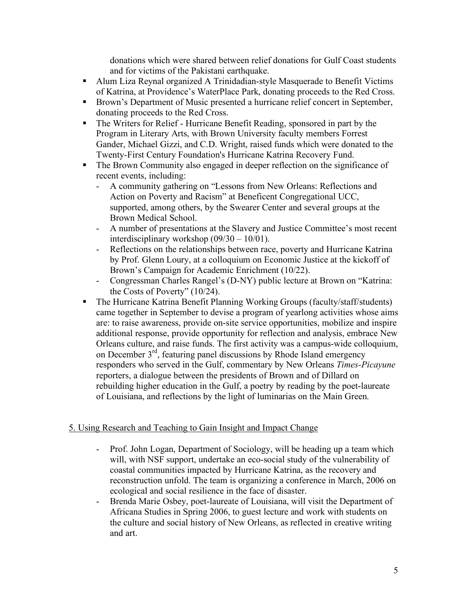donations which were shared between relief donations for Gulf Coast students and for victims of the Pakistani earthquake.

- Alum Liza Reynal organized A Trinidadian-style Masquerade to Benefit Victims of Katrina, at Providence's WaterPlace Park, donating proceeds to the Red Cross.
- Brown's Department of Music presented a hurricane relief concert in September, donating proceeds to the Red Cross.
- The Writers for Relief Hurricane Benefit Reading, sponsored in part by the Program in Literary Arts, with Brown University faculty members Forrest Gander, Michael Gizzi, and C.D. Wright, raised funds which were donated to the Twenty-First Century Foundation's Hurricane Katrina Recovery Fund.
- The Brown Community also engaged in deeper reflection on the significance of recent events, including:
	- A community gathering on "Lessons from New Orleans: Reflections and Action on Poverty and Racism" at Beneficent Congregational UCC, supported, among others, by the Swearer Center and several groups at the Brown Medical School.
	- A number of presentations at the Slavery and Justice Committee's most recent interdisciplinary workshop (09/30 – 10/01).
	- Reflections on the relationships between race, poverty and Hurricane Katrina by Prof. Glenn Loury, at a colloquium on Economic Justice at the kickoff of Brown's Campaign for Academic Enrichment (10/22).
	- Congressman Charles Rangel's (D-NY) public lecture at Brown on "Katrina: the Costs of Poverty" (10/24).
- The Hurricane Katrina Benefit Planning Working Groups (faculty/staff/students) came together in September to devise a program of yearlong activities whose aims are: to raise awareness, provide on-site service opportunities, mobilize and inspire additional response, provide opportunity for reflection and analysis, embrace New Orleans culture, and raise funds. The first activity was a campus-wide colloquium, on December 3rd, featuring panel discussions by Rhode Island emergency responders who served in the Gulf, commentary by New Orleans *Times-Picayune* reporters, a dialogue between the presidents of Brown and of Dillard on rebuilding higher education in the Gulf, a poetry by reading by the poet-laureate of Louisiana, and reflections by the light of luminarias on the Main Green.

### 5. Using Research and Teaching to Gain Insight and Impact Change

- Prof. John Logan, Department of Sociology, will be heading up a team which will, with NSF support, undertake an eco-social study of the vulnerability of coastal communities impacted by Hurricane Katrina, as the recovery and reconstruction unfold. The team is organizing a conference in March, 2006 on ecological and social resilience in the face of disaster.
- Brenda Marie Osbey, poet-laureate of Louisiana, will visit the Department of Africana Studies in Spring 2006, to guest lecture and work with students on the culture and social history of New Orleans, as reflected in creative writing and art.